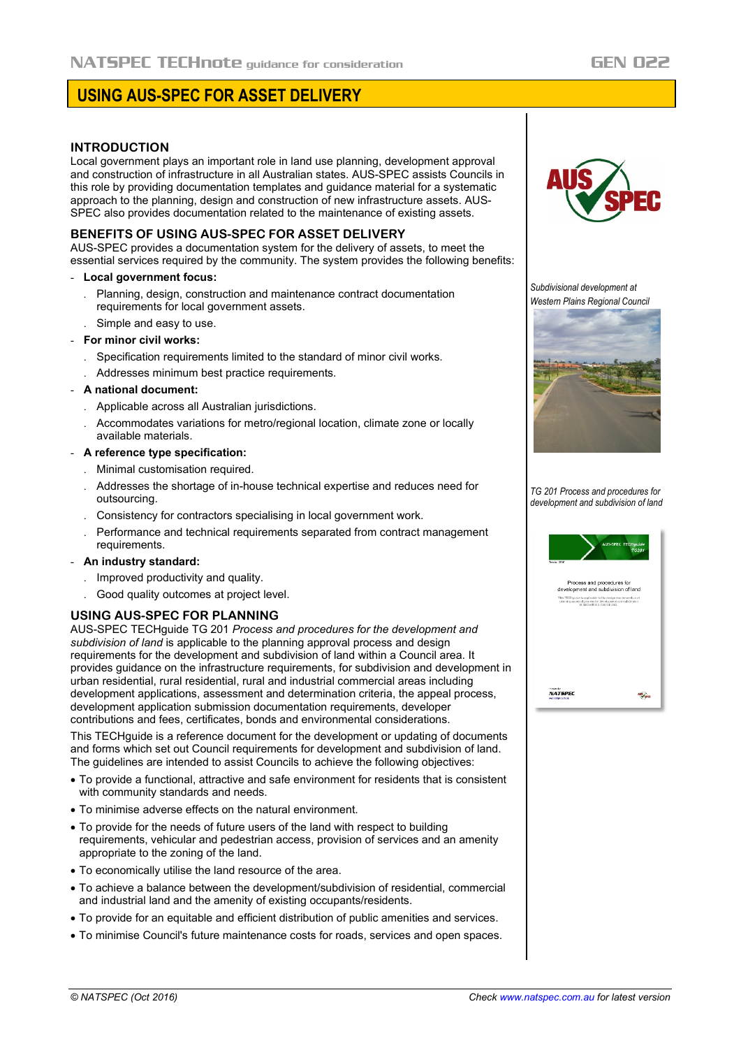# **USING AUS-SPEC FOR ASSET DELIVERY**

### **INTRODUCTION**

Local government plays an important role in land use planning, development approval and construction of infrastructure in all Australian states. AUS-SPEC assists Councils in this role by providing documentation templates and guidance material for a systematic approach to the planning, design and construction of new infrastructure assets. AUS-SPEC also provides documentation related to the maintenance of existing assets.

## **BENEFITS OF USING AUS-SPEC FOR ASSET DELIVERY**

AUS-SPEC provides a documentation system for the delivery of assets, to meet the essential services required by the community. The system provides the following benefits:

# - **Local government focus:**

- . Planning, design, construction and maintenance contract documentation requirements for local government assets.
- . Simple and easy to use.
- **For minor civil works:**
	- . Specification requirements limited to the standard of minor civil works.
	- . Addresses minimum best practice requirements.

#### - **A national document:**

- . Applicable across all Australian jurisdictions.
- . Accommodates variations for metro/regional location, climate zone or locally available materials.

#### - **A reference type specification:**

- . Minimal customisation required.
- . Addresses the shortage of in-house technical expertise and reduces need for outsourcing.
- . Consistency for contractors specialising in local government work.
- . Performance and technical requirements separated from contract management requirements.

#### - **An industry standard:**

- . Improved productivity and quality.
- . Good quality outcomes at project level.

# **USING AUS-SPEC FOR PLANNING**

AUS-SPEC TECHguide TG 201 *Process and procedures for the development and subdivision of land* is applicable to the planning approval process and design requirements for the development and subdivision of land within a Council area. It provides guidance on the infrastructure requirements, for subdivision and development in urban residential, rural residential, rural and industrial commercial areas including development applications, assessment and determination criteria, the appeal process, development application submission documentation requirements, developer contributions and fees, certificates, bonds and environmental considerations.

This TECHguide is a reference document for the development or updating of documents and forms which set out Council requirements for development and subdivision of land. The guidelines are intended to assist Councils to achieve the following objectives:

- To provide a functional, attractive and safe environment for residents that is consistent with community standards and needs.
- To minimise adverse effects on the natural environment.
- To provide for the needs of future users of the land with respect to building requirements, vehicular and pedestrian access, provision of services and an amenity appropriate to the zoning of the land.
- To economically utilise the land resource of the area.
- To achieve a balance between the development/subdivision of residential, commercial and industrial land and the amenity of existing occupants/residents.
- To provide for an equitable and efficient distribution of public amenities and services.
- To minimise Council's future maintenance costs for roads, services and open spaces.



*Subdivisional development at Western Plains Regional Council*



*TG 201 Process and procedures for development and subdivision of land*